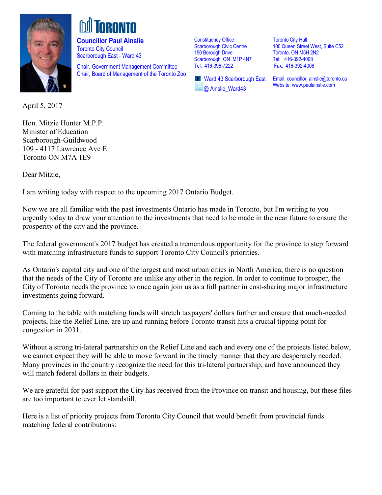

**Councillor Paul Ainslie**  Toronto City Council Scarborough East - Ward 43

Chair, Government Management Committee Chair, Board of Management of the Toronto Zoo

Constituency Office Scarborough Civic Centre 150 Borough Drive Scarborough, ON M1P 4N7 Tel: 416-396-7222

**T** Ward 43 Scarborough East @ Ainslie\_Ward43

Toronto City Hall 100 Queen Street West, Suite C52 Toronto, ON M5H 2N2 Tel: 416-392-4008 Fax: 416-392-4006

Email: [councillor\\_ainslie@toronto.ca](mailto:councillor_ainslie@toronto.ca) Website[: www.paulainslie.com](http://www.paulainslie.com/)

April 5, 2017

Hon. Mitzie Hunter M.P.P. Minister of Education Scarborough-Guildwood 109 - 4117 Lawrence Ave E Toronto ON M7A 1E9

Dear Mitzie,

I am writing today with respect to the upcoming 2017 Ontario Budget.

Now we are all familiar with the past investments Ontario has made in Toronto, but I'm writing to you urgently today to draw your attention to the investments that need to be made in the near future to ensure the prosperity of the city and the province.

The federal government's 2017 budget has created a tremendous opportunity for the province to step forward with matching infrastructure funds to support Toronto City Council's priorities.

As Ontario's capital city and one of the largest and most urban cities in North America, there is no question that the needs of the City of Toronto are unlike any other in the region. In order to continue to prosper, the City of Toronto needs the province to once again join us as a full partner in cost-sharing major infrastructure investments going forward.

Coming to the table with matching funds will stretch taxpayers' dollars further and ensure that much-needed projects, like the Relief Line, are up and running before Toronto transit hits a crucial tipping point for congestion in 2031.

Without a strong tri-lateral partnership on the Relief Line and each and every one of the projects listed below, we cannot expect they will be able to move forward in the timely manner that they are desperately needed. Many provinces in the country recognize the need for this tri-lateral partnership, and have announced they will match federal dollars in their budgets.

We are grateful for past support the City has received from the Province on transit and housing, but these files are too important to ever let standstill.

Here is a list of priority projects from Toronto City Council that would benefit from provincial funds matching federal contributions: